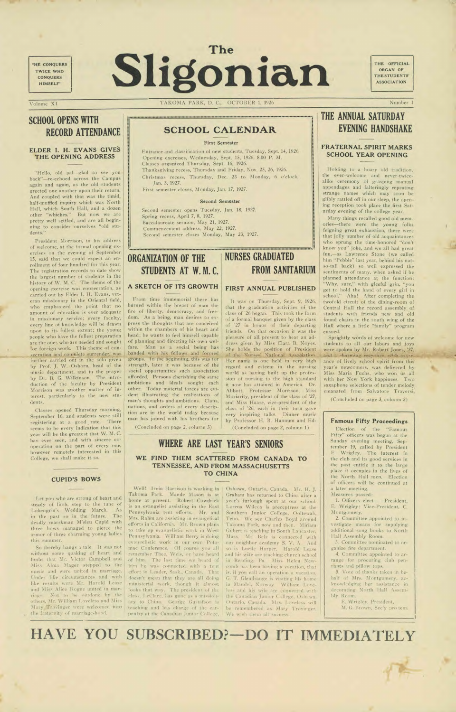## **SCHOOL OPENS WITH RECORD ATTENDANCE**

"Hello, old pal—glad to see you hack"—re-echoed across the Campus again and again, as the old students greeted one another upon their return. And coupled with that was the timid, half-muffled inquiry which was North Hall, which South Hall, and a dozen other "whiches." But 'now we are pretty well settled, and are all beginning to consider ourselves "old students."

#### **ELDER I. H. EVANS GIVES THE OPENING ADDRESS**

President Morrison, in his address of welcome, at the formal opening exercises on the evening of September. 15, said that we could expect an enrollment of four hundred for this year. The registration records to date show the largest number of students in the history of W. M. C. The theme of the opening exercise was consecration, as carried out by Elder I. H. Evans, veteran missionary in the Oriental field, who emphasized the point that no amount of education is ever adequate in missionary service; every faculty, every line of knowledge will he drawn upon to its fullest extent; the young people who have the fullest preparation are the ones who are needed and sought for foreign work. This theme of consecration and complete surrender, was further carried out in the solo given by Prof. J. W. Osborn, head of the music department, and in the prayer by Dr. B. G. Wilkinson. The introduction of the faculty by President Morrison was another matter of interest, particularly to the new students.

Classes opened Thursday morning, September 16, and students were still registering at a good rate. There seems to be every indication that this year will be the greatest that W. M. C. has ever seen, and with sincere cooperation on the part of every one, however remotely interested in this College, we shall make it so.

#### **CUPID'S BOWS**

Let you who are strong of heart and steady of limb. step to the tune of Lohengrin's Wedding March. As in the past so in the future. The deadly marskman M'sieu Cupid with hows managed to pierce the armor of three charming young ladies this summer.

So thereby hangs a tale. It was not without some quaking of heart and limbs that Mr. Victor Campbell and Miss Alma Mager stepped to the music and were united in marriage. Under like circumstances and with like results were Mr. Harold Lease and Miss Alice Hogue united in marriag- Not to be outdone by the others, Mr. William Loveless and Miss Mary Trovinger were welcomed into the fraternity of marriage-hood.

**"HE** CONQUERS TWICE WHO **CONQUERS** HIMSELF"

# Sligonian **The Server Sligonian**

ORGAN OF THE STUDENTS' ASSOCIATION

Volume XI TAKOMA PARK, D. C., OCTOBER 1, 1926 Number 1

## **ORGANIZATION OF THE STUDENTS AT W. M. C.**

**A SKETCH OF ITS GROWTH** 

From time immemorial there has bdrned within the breast of man the fire of liberty, democracy, and freedom. As a being, man desires to express the thoughts that are conceived within the chambers of his heart and head; he wants to feel himself capable of planning and directing his own welfare. Man as a social being has banded with his fellows and formed groups. In tne beginning, this was for strength, later it was because of the social opportunities such association afforded. Persons cherishing the same ambitions and ideals sought each other. Today material forces are evident illustrating the realizations of man's thoughts and ambitions. Clans, nations, and orders of every description are in the world today because man has joined with his brothers for (Concluded on page 2, column 3)

Well! Irvin Harrison is working in Oshawa, Ontario, Canada. Mr. H. J. Takoma Park. Maude Mason is at home at present. Robert Cowdrick is an evangelist assisting in the East Pennsylvania tent efforts. Mr. and Mrs. Rahm are assisting in evangelical efforts in California. Mr. Brown plans to take up evangelistic work in \Vest Pennsylvania. William Berry is doing evan'relistic work in our own Potomac Conference. **Of** course you all remember Theo. Weis, or have heard of him. The last time we heard of hini be was connected with a tent effort in Leader, Sask., Canada. That doesn't mean that they are all doing ministerial work, though it almost looks that way. The president of the class. LeClare, has gone as a missionary to China. George Gustafson is teaching and has charge of the carpentry at the Canadian Junior College,

#### **FIRST ANNUAL PUBLISHED**

It was on Thursday, Sept. 9, 1926, that the graduation activities of the class of '26 began. This took the form of a formal banquet given by the class of '27 in honor of their departing friends. On that occasion it was the pleasure of all. present to hear an address given by Miss Clara B. Noyes. She holds the position of President of the Nurses' National Association. Her name is one held in very high regard and esteem in the nursing world as having built up the profession of nursing to the high standard it now has attained in America. Dr. Abbott, Professor Morrison, Miss Moriarity, president of the class of '27, and Miss Haase, vice-president of the class of '26, each in their turn gave very inspiring talks. Dinner music by Professor H. B. Hannum and Ed-

(Concluded on page 2, column 1)

Graham has returned to China after a year's furlough spent at our school. Lorena Wilcox is preceptress at the Southern Junior College, Ooltewah, Tenn. We see Charles Boyd around Takoma Park, now and then. Miriam Gilbert is teaching in South Lancaster, Mass. Mr. Belz is connected with our neighbor academy S. V. A. so is Lucile Harper. Harold Lease and his wife are teaching church school in Reading, Pa. Miss Helen Newcomb has been haying a vacation, that is. if you call an operation a vacation. G. T. Glendrange is visiting his home in Mandel, Norway. William Loveless and his wife are connected with the Canadian Junior College, Oshawa, Ontario, Canada. Mrs. Loveless will be remembered as Mary Trovinger. We wish them all success.

## **THE ANNUAL SATURDAY EVENING HANDSHAKE**

#### **FRATERNAL SPIRIT MARKS SCHOOL YEAR OPENING**

Holding to a hoary old tradition, the ever-welcome and never-twicealike ceremony of grasping manual appendages and falteringly repeating strange names which may soon be glibly rattled off in our sleep, the opening reception took place the first Saturday evening of the college year.

Many things recalled good old memories—there were the young folks feigning great exhaustion, there were that jolly number of old acquaintances who sprung the time-honored "don't know you" joke, and we all had great fun,—as Lawrence Stone (we called him "Pebble" last year, behind his notso-tall back) so well expressed the sentiments of many, when asked if he planned attendance at the function: "Why, sure," with gleeful grin, "you get to hold the hand of every girl in school." Aha! After completing the twofold circuit of the dining-room of Central Hall the record assembly of students with friends new and old found chairs in the south wing of the Hall where a little "family" program ensued.

Sprightly words of welcome for new students to all our labors and joys were spoken by Mr. Robert Jones, '27, and a charming response with accurance of lively school spirit from this year's newcomers, was delivered by Miss Maria Fuchs, who won us all with her New York happiness. Two saxaphone selections of tender melody emanated from Salvatore Traversi,

(Concluded on page 3, column 2)

#### **Famous Fifty Proceedings**

Election of the "Famous Fifty" officers was begun at the Sunday evening meeting, September 19, called by President E. Wrigley. The interest in the club and its good services in the past entitle it to the large place it occupies in the lives of the North Hall men. Election of officers will be continued at a later meeting. Measures passed:

1. Officers elect — President. E. Wrigley: Vice-President, C. Montgomery.

2. Committee appointed to investigate means for supplying additional song books to North Hall Assembly Room.

3. Committee nominated to organize fire department.

4. Committee appointed to arrange for procuring club pennants and pillow tops.

5. Vote of thanks taken in behalf of Mrs. Montgomery, acknowledging her assistance in decorating North Hall Assembly Room.

> E. Wrigley, President, M. G. Brown, Sec'y pro tern.

# HAVE YOU SUBSCRIBED?-DO IT IMMEDIATELY

## **SCHOOL CALENDAR**

#### **First Semester**

Entrance and classification of new students, Tuesday, Sept. 14, 1926. Opening exercises, Wednesday, Sept. 15, 1926, 8.00 P. M. Classes organized Thursday, Sept. 16, 1926.

Thanksgiving recess, Thursday and Friday, Nov. 25, 26, 1926.

Christmas recess, Thursday, Dec. 23 to Monday, 6 o'clock, Jan. 3, 1927.

First semester closes, Monday, Jan. 17, 1927.

#### **Second** Semester

Second semester opens Tuesday, Jan. 18, 1927. Spring recess, April 7, 8, 1927. Baccalaureate sermon, May 21, 1927. Commencement address. May *22,* 1927. Second semester closes Monday, May 23, 1927.

## **NURSES GRADUATED FROM SANITARIUM**

<u> 1980 - Johann Barnett, fransk konge og det</u>

# **WHERE ARE LAST YEAR'S SENIORS**

#### **WE FIND THEM SCATTERED FROM CANADA TO TENNESSEE, AND FROM MASSACHUSETTS TO CHINA**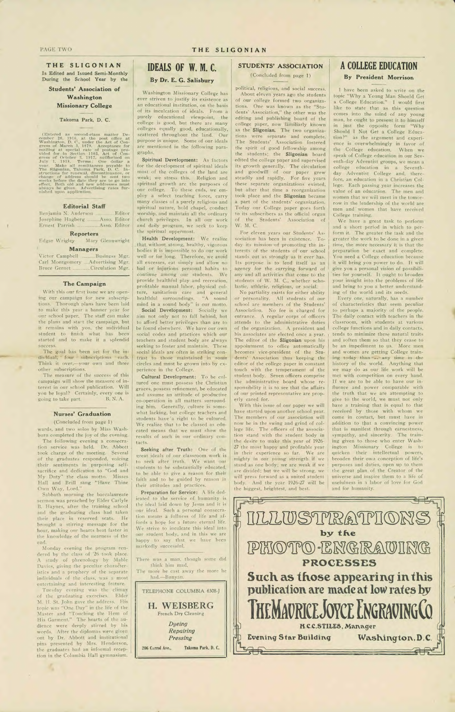

**THE SLIGONIAN** 

**Is Edited and Issued Semi-Monthly During the School Year by the** 

**Students' Association of Washington Missionary College** 

#### **—** — Takoma Park, D. C.

(Entered as second-class matter December 20, 1915, at the post office at Washington, D. C., under the Act of Congress of March 3, 1879. Acceptance for mailing at special rate of postage provided for in Section 1103, Act o

The measure of the success of this campaign will show the measure of interest in our school publication. Will you be loyal? Certainly, every one is<br>going to take part. B. N. A. going to take part.

wards, and two solos by Miss Washburn completed the joy of the evening. The following evening a consecration service was held. Dr. Abbott took charge of the meeting. Several of the graduates responded, voicing their sentiments in purposing selfsacrifice and dedication to "God and My Duty" the class motto. Misses Hall and Brill sang "Have Thine

#### **Editorial Staff**

Benjamin N. Anderson \_\_\_\_\_\_\_\_ Editor<br>Josephine Hagberg \_\_\_\_\_ Asso, Editor Josephine Hagberg .......... Ernest Parrish \_\_\_\_\_\_\_\_\_\_ Asso. Editor

**Reporters**<br>**Edgar Wrigley** Mary Mary Glennwright

**Managers** 

Victor Campbell **Business** Mgr. Carl Montgomery ..... Advertising Mgr. Bruce Gernet Circulation Mgr.

#### **The Campaign**

With this our first issue we are opening our campaign for new subscriptions. Thorough plans have been laid to make this year a banner year for our school paper. The staff can make the plans and start the campaign, but it remains with you, the individual student to finish what has been started and to make it a splendid success.

The goal has been set for the individual, four subscriptions each. Think it over,—your own and three other subscriptions.

#### **Nurses' Graduation**

(Concluded from page 1)

Own Way, Lord." Sabbath morning the baccalaureate sermon was preached by Elder Carlyle B. Haynes, after the training school and the graduating class had taken their place in reserved seats. He brought a stirring message for the hour, making our hearts beat faster in the knowledge of the nearness of the end.

#### PAGE TWO **THE SLIGONIAN**

Monday evening the program rendered by the class of '26 took place. A study of phrenology by Mable Davies, giving the peculiar characteristics and a prophecy of the separate individuals of the class, was a most entertaining and interesting feature.

Tuesday evening was the climax of the graduating exercises. Elder M. H. St. John gave the address. His topic was "One Day" in the life of the Master and "Touching the Hem of His Garment." The hearts of the audience were deeply stirred by his words. After the diplomas were given out by Dr. Abbott and institutional pins presented by Mrs. Henderson, the graduates had an informal reception in the Columbia Hall gymnasium.

## **IDEALS OF W. M. C. By Dr. E. G. Salisbury**

Washington Missionary College has ever striven to justify its existence as an educational institution, on the basis of its inculcation of ideals. From a purely educational viewpoint, the college is good, but there are many colleges equally good, educationally, scattered throughout the land. Our purpose is 'unique. Some of our ideals are mentioned in the following paragraphs.

**Spiritual Development:** As factors for the development of spiritual ideals most of the colleges of the land are weak; we stress this. Religion and spiritual growth are the purposes of our college. To these ends, we employ a select teaching force, carry many classes of a purely religious and spiritual nature, hold chapel, conduct worship, and maintain all the ordinary church privileges. In all our work and daily program, we seek to keep the spiritual uppermost.

**Health Development:** We realize that without strong, healthy, vigorous bodies it is impossible to do our work well or for long. Therefore, we avoid all excesses, eat simply and allow no bad or injurious personal habits to continue among our students. We provide healthful play and recreation, profitable manual labor, physical culture, sanitarium care and general healthful surroundings. "A sound mind in a sound body" is our motto.

**Social Development:** Socially we aim not only not to fall behind, but to afford better privileges than are to be found elsewhere. We have our own social codes and practices which our teachers and student body are always seeking to foster and maintain. These social ideals are often in striking contrast to those maintained in some circles and must be grown into by experience in the College.

**Cultural Development:** To be cultured one must possess the Christian graces, possess refinement, be educated and assume an attitude of productive co-operation in all matters surrounding him. Generally, culture is somewhat lacking, but college teachers and students have 'a right to be cultured. We realize that to be classed as educated means that we must show the results of such in our ordinary contacts.

**Seeking** after Truth: One of the great ideals of our classroom work is to seek after truth. We want our students to be substantially educated, to be able to give a reason for their faith and to be guided by reason in their attitudes and practices.

**Preparation for Service:** A life dedicated to the service of humanity is the ideal laid down by Jesus and it is our ideal. Such a personal consecration means a fullness of life and affords a hope for a future eternal life. We strive to inculcate this ideal into our student body, and in this we are happy to say that we have been markedly successful.

There was a man, though some did think him mad, The more he cast away the more he had.—Bunyan. **TELEPHONE COLUMBIA 6308-J H. WEISBERG** 

**French Dry** Cleaning

*Dyeing Repairing Pressing* 

**206 Carrol Ave., Takoma Park, D. C.** 

#### **STUDENTS' ASSOCIATION**

(Concluded from page 1)

political, religious, and social success. About eleven years ago the students of our college formed two organizations. One was known as the "Students' Association," the other was the editing and publishing board of the college paper, now familiarly known as the' **Sligonian.** The two organizations were separate and complete. The Students' Association fostered the spirit of good fellowship among the students; the **Sligonian** board edited the college paper and supervised its growth generally. The circulation and goodwill of our paper grew steadily and rapidly. For five years these separate organizations existed, but after that time a reorganization took place and the **Sligonian** became a part of the students' organization. Today our College paper goes forth to its subscribers as the official organ of the Students' Association of W. M. C.

For eleven years our Students' Association has been in existence. Today its mission-of promoting the interests of the students of our school stands out as strongly as it ever has. Its purpose is to lend itself as an agency for the carrying forward of any and all activities that come to the students of W. M. C., whether scholastic, athletic, religious, or social.

No partiality exists for either ability or personality. All students of our school are members of the Students' Association. No fee is charged for entrance. A regular corps of officers attends to the administrative duties of the organization. A president and his associates are elected once a year. The, editor of the **Sligonian** upon his appointment to office automatically becomes vice-president of the Students' Association thus keeping the editor of the college paper in constant touch with the temperament of the student body. Seven officers comprise the administrative board whose responsibility it is to see that the affairs of our printed representative are properly cared for.

With this issue of our paper we will have started upon another school year. The members of our association will now be in the swing and grind of college life. The officers of the association stand with the student body in the desire to make this year of 1926- 27 the most happy and profitable year in their experience so far. We are mighty in our young strength if we stand as one body; we are weak if we are divided; but we will be strong, we will press forward as a united student body. And the year 1926-27 will be the biggest, brightest, and best.

## **A COLLEGE EDUCATION**

 $\alpha$ 

#### **By President Morrison**

I have been asked to write on the topic "Why a Young Man Should Get a College Education." **I** would first like to state that as this question comes into the mind of any young man, he ought to present it to himself in just the opposite form "Why Should I Not Get a College Education?" as the argument and experience is overwhelmingly in favor of the College education. When we speak of College education in our Seventh-day Adventist groups, we mean a college education in a Seventhday Adventist College and, therefore, an education in a Christian College. Each passing year increases the value of an education. The men and women that we will meet in the tomorrow in the leadership of the world are men and women that have received College training.

We have a great task to perform and a short period in which to perform it. The greater the task and the greater the work to be done in a given time, the more necessary it is that the preparation be exact and complete. You need a College education because it will bring you power to do. It will give you a personal vision of possibilities for yourself. It ought to broaden your insight into the problems of life and bring to you a better understanding of the world and its needs.

Every one, naturally, has a number of characteristics that seem peculiar to perhaps a majority of the people. The daily contact with teachers in the classroom, with students at various college functions and in daily contacts, tends to minimize these natural traits and soften them so that they cease to be an impediment to us. More men and women are getting College training today than an any time in the history of the world. Anything that we may do as our life work will be met with competition on every hand. If we are to be able to have our influence and power comparable with the truth that we are attempting to give to the world, we must not only have a training that is equal to that received by those with whom we come in contact, but must have in addition to that a convincing power that is manifest through earnestness, sympathy, and sincerity. The training given to those who enter Washington Missionary College is to quicken their intellectual powers, broaden their own conception of life's purposes and duties, open up to them the great plan of the Creator of the universe and inspire them to a life of usefulness in a labor of love for God and for humanity.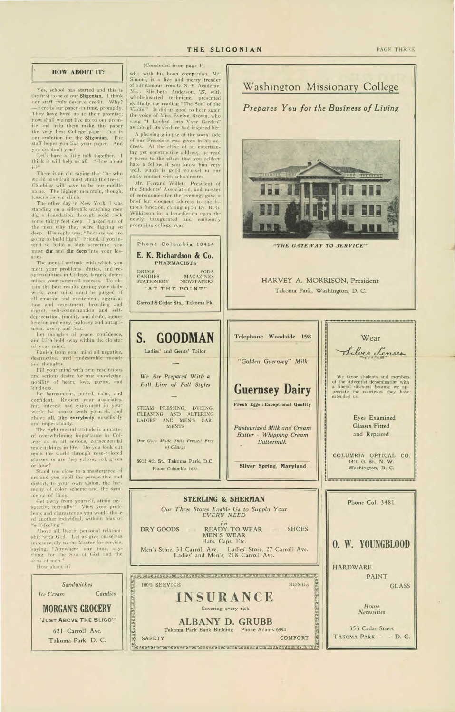#### THE SLIGONIAN

#### PAGE THREE

#### **HOW ABOUT IT?**

Yes, school has started and this is the first issue of our Sligonian. I think our staff truly deserve credit. Why? -Here is our paper on time, promptly. They have lived up to their promise; now shall we not live up to our promise and help them make this paper the very best College paper-that is our ambition for the Sligonian. The staff hopes you like your paper. And you do, don't you?

Let's have a little talk together. I think it will help us all. "How about  $it?"$ 

There is an old saying that "he who would have fruit must climb the trees.' Climbing will have to be our middle name. The highest mountain, though, lessens as we climb.

The other day in New York, I was standing on a sidewalk watching men dig a foundation through solid rock some thirty feet deep. I asked one of the men why they were digging so deep. His reply was, "Because we are going to build high." Friend, if you intend to build a high structure, you must dig and dig deep into your lessons.

The mental attitude with which you meet your problems, duties, and responsibilities in College, largely determines your potential success. To obtain the best results during your daily work, your mind must be purged of all emotion and excitement, aggravation and resentment, brooding and regret, self-condemnation and selfdepreciation, timidity and doubt, apprehension and envy, jealousy and antagonism, worry and fear.

Let thoughts of peace, confidence, and faith hold sway within the cloister of your mind.

Banish from your mind all negative, destructive, and undesirable moods and thoughts.

Fill your mind with firm resolutions and serious desire for true knowledge, nobility of heart, love, purity, and kindness.

Be harmonious, poised, calm, and confident. Respect your associates, find interest and enjoyment in your work, be honest with yourself, and above all, like everybody unselfishly and impersonally.

The right mental attitude is a matter of overwhelming importance in College as in all serious, consequential undertakings in life. Do you look out upon the world through rose-colored glasses, or are they yellow, red, green or blue?

Stand too close to a masterpiece of art'and you spoil the perspective and distort, to your own vision, the harmony of color scheme and the symmetry of lines.

Get away from yourself, attain perspective mentally!! View your problems and character as you would those of another individual, without bias or "self-feeling."

(Concluded from page 1)

who with his boon companion, Mr. Simoni, is a live and merry treader of our campus from G. N. Y. Academy. Miss Elizabeth Anderson, '27, with whole-hearted technique, presented skillfully the reading "The Soul of the Violin." It did us good to hear again the voice of Miss Evelyn Brown, who sang "I Looked Into Your Garden" as though its verdure had inspired her.

A pleasing glimpse of the social side of our President was given in his address. At the close of an entertaining yet constructive address, he read a poem to the effect that you seldom hate a fellow if you know him very well, which is good counsel in our early contact with schoolmates.

Mr. Ferrand Willett, President of the Students' Association, and master of ceremonies for the evening, gave a brief but eloquent address to the famous function, calling upon Dr. B. G. Wilkinson for a benediction upon the newly inaugurated and eminently promising college year.



Washington Missionary College

Prepares You for the Business of Living



"THE GATEWAY TO SERVICE"

#### HARVEY A. MORRISON, President Takoma Park, Washington, D. C.

Silver Lenses We favor students and members of the Adventist denomination with<br>a liberal discount because we appreciate the courtesies they have extended us. Eyes Examined **Glasses Fitted** and Repaired

Wear

COLUMBIA OPTICAL CO. 1410 G. St., N. W. Washington, D. C.

#### **STERLING & SHERMAN**

Our Three Stores Enable Us to Supply Your **EVERY NEED** 

 $R$ EADY-TO-WEAR -

**Buttermilk** 

Phone Col. 3481